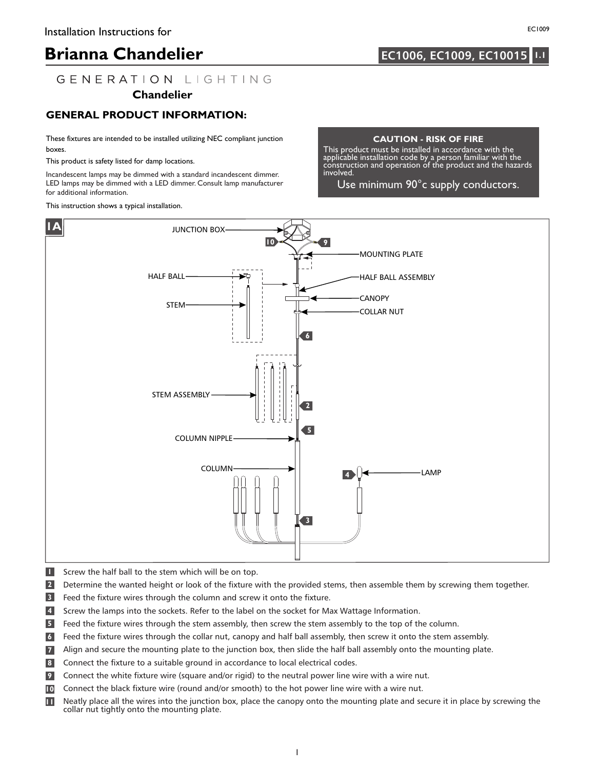# **Brianna Chandelier 1.11 1.12 1.13 1.13 1.13 1.15 1.15 1.15 1.15**

## **EC1006, EC1009, EC10015**

## GENERATION LIGHTING

### **Chandelier**

### **GENERAL PRODUCT INFORMATION:**

These fixtures are intended to be installed utilizing NEC compliant junction boxes.

This product is safety listed for damp locations.

Incandescent lamps may be dimmed with a standard incandescent dimmer. LED lamps may be dimmed with a LED dimmer. Consult lamp manufacturer for additional information.

This instruction shows a typical installation.

#### **CAUTION - RISK OF FIRE**

This product must be installed in accordance with the applicable installation code by a person familiar with the construction and operation of the product and the hazards involved.

Use minimum 90°c supply conductors.



- **1** Screw the half ball to the stem which will be on top.
- **2** Determine the wanted height or look of the fixture with the provided stems, then assemble them by screwing them together.
- **3** Feed the fixture wires through the column and screw it onto the fixture.
- Screw the lamps into the sockets. Refer to the label on the socket for Max Wattage Information. **4**
- Feed the fixture wires through the stem assembly, then screw the stem assembly to the top of the column. **5**
- Feed the fixture wires through the collar nut, canopy and half ball assembly, then screw it onto the stem assembly. **6**
- Align and secure the mounting plate to the junction box, then slide the half ball assembly onto the mounting plate. **7**
- Connect the fixture to a suitable ground in accordance to local electrical codes. **8**
- Connect the white fixture wire (square and/or rigid) to the neutral power line wire with a wire nut. **9**
- Connect the black fixture wire (round and/or smooth) to the hot power line wire with a wire nut. **10**
- Neatly place all the wires into the junction box, place the canopy onto the mounting plate and secure it in place by screwing the collar nut tightly onto the mounting plate. **11**